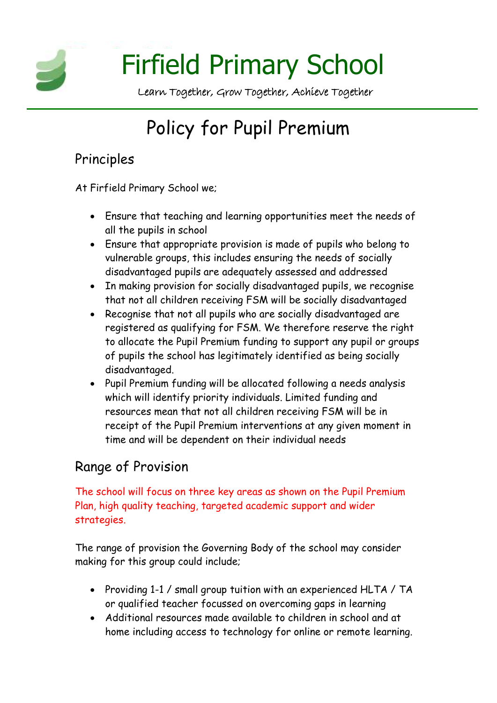

# Policy for Pupil Premium

## Principles

At Firfield Primary School we;

- Ensure that teaching and learning opportunities meet the needs of all the pupils in school
- Ensure that appropriate provision is made of pupils who belong to vulnerable groups, this includes ensuring the needs of socially disadvantaged pupils are adequately assessed and addressed
- In making provision for socially disadvantaged pupils, we recognise that not all children receiving FSM will be socially disadvantaged
- Recognise that not all pupils who are socially disadvantaged are registered as qualifying for FSM. We therefore reserve the right to allocate the Pupil Premium funding to support any pupil or groups of pupils the school has legitimately identified as being socially disadvantaged.
- Pupil Premium funding will be allocated following a needs analysis which will identify priority individuals. Limited funding and resources mean that not all children receiving FSM will be in receipt of the Pupil Premium interventions at any given moment in time and will be dependent on their individual needs

# Range of Provision

The school will focus on three key areas as shown on the Pupil Premium Plan, high quality teaching, targeted academic support and wider strategies.

The range of provision the Governing Body of the school may consider making for this group could include;

- Providing 1-1 / small group tuition with an experienced HLTA / TA or qualified teacher focussed on overcoming gaps in learning
- Additional resources made available to children in school and at home including access to technology for online or remote learning.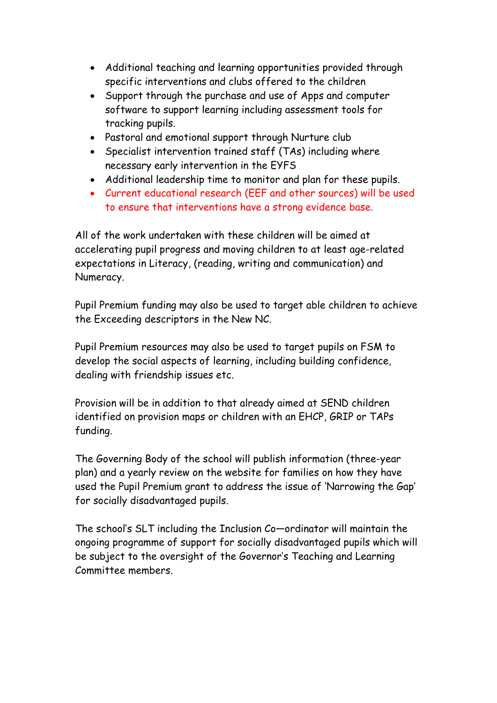- Additional teaching and learning opportunities provided through specific interventions and clubs offered to the children
- Support through the purchase and use of Apps and computer software to support learning including assessment tools for tracking pupils.
- Pastoral and emotional support through Nurture club
- Specialist intervention trained staff (TAs) including where necessary early intervention in the EYFS
- Additional leadership time to monitor and plan for these pupils.
- Current educational research (EEF and other sources) will be used to ensure that interventions have a strong evidence base.

All of the work undertaken with these children will be aimed at accelerating pupil progress and moving children to at least age-related expectations in Literacy, (reading, writing and communication) and Numeracy.

Pupil Premium funding may also be used to target able children to achieve the Exceeding descriptors in the New NC.

Pupil Premium resources may also be used to target pupils on FSM to develop the social aspects of learning, including building confidence, dealing with friendship issues etc.

Provision will be in addition to that already aimed at SEND children identified on provision maps or children with an EHCP, GRIP or TAPs funding.

The Governing Body of the school will publish information (three-year plan) and a yearly review on the website for families on how they have used the Pupil Premium grant to address the issue of 'Narrowing the Gap' for socially disadvantaged pupils.

The school's SLT including the Inclusion Co—ordinator will maintain the ongoing programme of support for socially disadvantaged pupils which will be subject to the oversight of the Governor's Teaching and Learning Committee members.